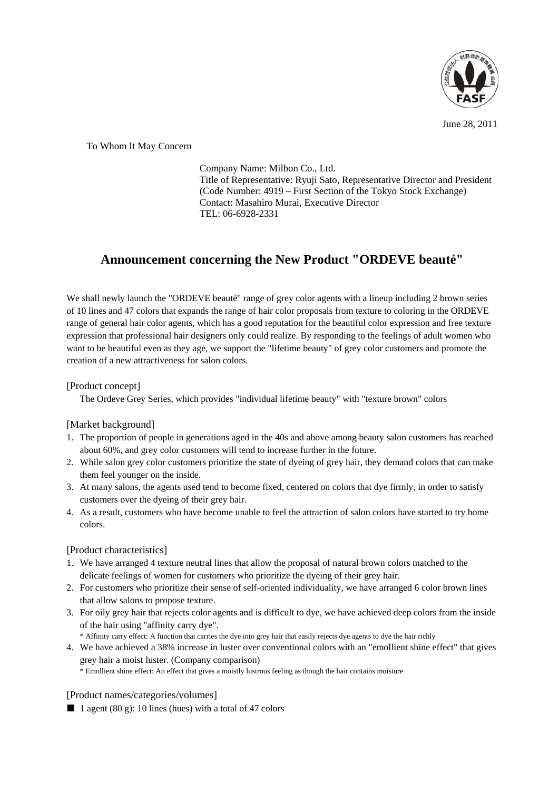

June 28, 2011

To Whom It May Concern

Company Name: Milbon Co., Ltd. Title of Representative: Ryuji Sato, Representative Director and President (Code Number: 4919 – First Section of the Tokyo Stock Exchange) Contact: Masahiro Murai, Executive Director TEL: 06-6928-2331

## **Announcement concerning the New Product "ORDEVE beauté"**

We shall newly launch the "ORDEVE beauté" range of grey color agents with a lineup including 2 brown series of 10 lines and 47 colors that expands the range of hair color proposals from texture to coloring in the ORDEVE range of general hair color agents, which has a good reputation for the beautiful color expression and free texture expression that professional hair designers only could realize. By responding to the feelings of adult women who want to be beautiful even as they age, we support the "lifetime beauty" of grey color customers and promote the creation of a new attractiveness for salon colors.

## [Product concept]

The Ordeve Grey Series, which provides "individual lifetime beauty" with "texture brown" colors

## [Market background]

- 1. The proportion of people in generations aged in the 40s and above among beauty salon customers has reached about 60%, and grey color customers will tend to increase further in the future.
- 2. While salon grey color customers prioritize the state of dyeing of grey hair, they demand colors that can make them feel younger on the inside.
- 3. At many salons, the agents used tend to become fixed, centered on colors that dye firmly, in order to satisfy customers over the dyeing of their grey hair.
- 4. As a result, customers who have become unable to feel the attraction of salon colors have started to try home colors.

## [Product characteristics]

- 1. We have arranged 4 texture neutral lines that allow the proposal of natural brown colors matched to the delicate feelings of women for customers who prioritize the dyeing of their grey hair.
- 2. For customers who prioritize their sense of self-oriented individuality, we have arranged 6 color brown lines that allow salons to propose texture.
- 3. For oily grey hair that rejects color agents and is difficult to dye, we have achieved deep colors from the inside of the hair using "affinity carry dye".
	- \* Affinity carry effect: A function that carries the dye into grey hair that easily rejects dye agents to dye the hair richly
- 4. We have achieved a 38% increase in luster over conventional colors with an "emollient shine effect" that gives grey hair a moist luster. (Company comparison) \* Emollient shine effect: An effect that gives a moistly lustrous feeling as though the hair contains moisture

[Product names/categories/volumes]

1 agent (80 g): 10 lines (hues) with a total of 47 colors